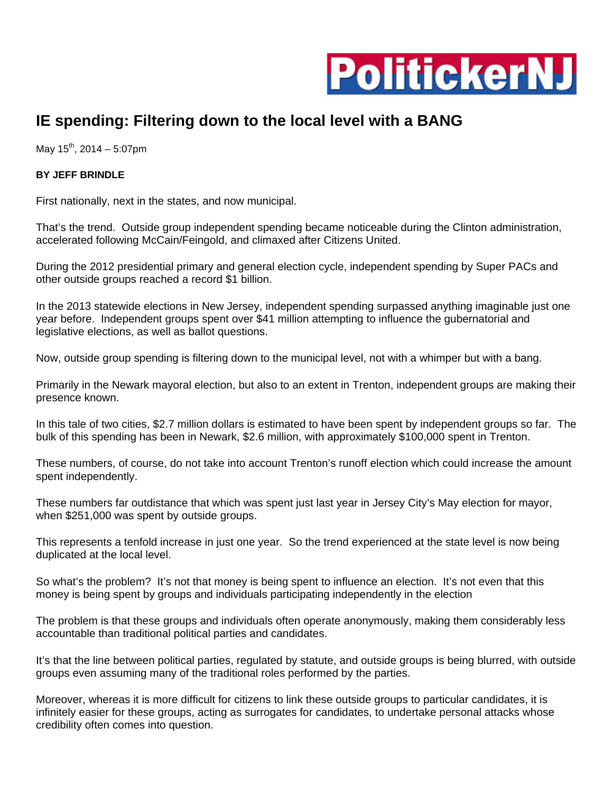

## **IE spending: Filtering down to the local level with a BANG**

May  $15^{th}$ , 2014 – 5:07pm

## **BY JEFF BRINDLE**

First nationally, next in the states, and now municipal.

That's the trend. Outside group independent spending became noticeable during the Clinton administration, accelerated following McCain/Feingold, and climaxed after Citizens United.

During the 2012 presidential primary and general election cycle, independent spending by Super PACs and other outside groups reached a record \$1 billion.

In the 2013 statewide elections in New Jersey, independent spending surpassed anything imaginable just one year before. Independent groups spent over \$41 million attempting to influence the gubernatorial and legislative elections, as well as ballot questions.

Now, outside group spending is filtering down to the municipal level, not with a whimper but with a bang.

Primarily in the Newark mayoral election, but also to an extent in Trenton, independent groups are making their presence known.

In this tale of two cities, \$2.7 million dollars is estimated to have been spent by independent groups so far. The bulk of this spending has been in Newark, \$2.6 million, with approximately \$100,000 spent in Trenton.

These numbers, of course, do not take into account Trenton's runoff election which could increase the amount spent independently.

These numbers far outdistance that which was spent just last year in Jersey City's May election for mayor, when \$251,000 was spent by outside groups.

This represents a tenfold increase in just one year. So the trend experienced at the state level is now being duplicated at the local level.

So what's the problem? It's not that money is being spent to influence an election. It's not even that this money is being spent by groups and individuals participating independently in the election

The problem is that these groups and individuals often operate anonymously, making them considerably less accountable than traditional political parties and candidates.

It's that the line between political parties, regulated by statute, and outside groups is being blurred, with outside groups even assuming many of the traditional roles performed by the parties.

Moreover, whereas it is more difficult for citizens to link these outside groups to particular candidates, it is infinitely easier for these groups, acting as surrogates for candidates, to undertake personal attacks whose credibility often comes into question.